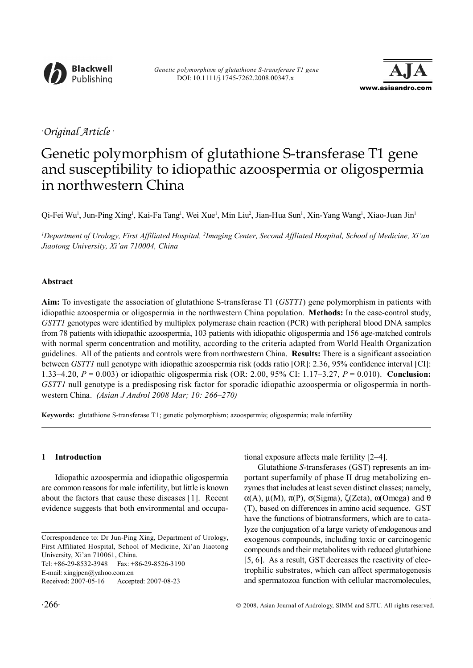



# *. Original Article .*

# Genetic polymorphism of glutathione S-transferase T1 gene and susceptibility to idiopathic azoospermia or oligospermia in northwestern China

Qi-Fei Wu<sup>i</sup>, Jun-Ping Xing<sup>i</sup>, Kai-Fa Tang<sup>i</sup>, Wei Xue<sup>i</sup>, Min Liu<sup>2</sup>, Jian-Hua Sun<sup>i</sup>, Xin-Yang Wang<sup>i</sup>, Xiao-Juan Jin<sup>i</sup>

*1 Department of Urology, First Affiliated Hospital, 2 Imaging Center, Second Affliated Hospital, School of Medicine, Xi'an Jiaotong University, Xi'an 710004, China*

## **Abstract**

**Aim:** To investigate the association of glutathione S-transferase T1 (*GSTT1*) gene polymorphism in patients with idiopathic azoospermia or oligospermia in the northwestern China population. **Methods:** In the case-control study, *GSTT1* genotypes were identified by multiplex polymerase chain reaction (PCR) with peripheral blood DNA samples from 78 patients with idiopathic azoospermia, 103 patients with idiopathic oligospermia and 156 age-matched controls with normal sperm concentration and motility, according to the criteria adapted from World Health Organization guidelines. All of the patients and controls were from northwestern China. **Results:** There is a significant association between *GSTT1* null genotype with idiopathic azoospermia risk (odds ratio [OR]: 2.36, 95% confidence interval [CI]: 1.33–4.20, *P* = 0.003) or idiopathic oligospermia risk (OR: 2.00, 95% CI: 1.17–3.27, *P* = 0.010). **Conclusion:** *GSTT1* null genotype is a predisposing risk factor for sporadic idiopathic azoospermia or oligospermia in northwestern China. *(Asian J Androl 2008 Mar; 10: 266–270)*

**Keywords:** glutathione S-transferase T1; genetic polymorphism; azoospermia; oligospermia; male infertility

## **1 Introduction**

Idiopathic azoospermia and idiopathic oligospermia are common reasons for male infertility, but little is known about the factors that cause these diseases [1]. Recent evidence suggests that both environmental and occupa-

Correspondence to: Dr Jun-Ping Xing, Department of Urology, First Affiliated Hospital, School of Medicine, Xi'an Jiaotong University, Xi'an 710061, China.

Tel: +86-29-8532-3948 Fax: +86-29-8526-3190

E-mail: xingjpcn@yahoo.com.cn

tional exposure affects male fertility [2–4].

Glutathione *S*-transferases (GST) represents an important superfamily of phase II drug metabolizing enzymes that includes at least seven distinct classes; namely, α(A), μ(M), π(P), σ(Sigma), ζ(Zeta), ω(Omega) and θ (T), based on differences in amino acid sequence. GST have the functions of biotransformers, which are to catalyze the conjugation of a large variety of endogenous and exogenous compounds, including toxic or carcinogenic compounds and their metabolites with reduced glutathione [5, 6]. As a result, GST decreases the reactivity of electrophilic substrates, which can affect spermatogenesis and spermatozoa function with cellular macromolecules,

Received: 2007-05-16 Accepted: 2007-08-23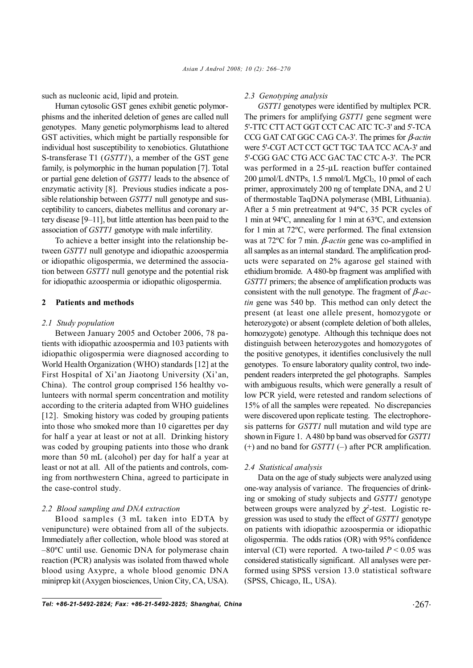such as nucleonic acid, lipid and protein.

Human cytosolic GST genes exhibit genetic polymorphisms and the inherited deletion of genes are called null genotypes. Many genetic polymorphisms lead to altered GST activities, which might be partially responsible for individual host susceptibility to xenobiotics. Glutathione S-transferase T1 (*GSTT1*), a member of the GST gene family, is polymorphic in the human population [7]. Total or partial gene deletion of *GSTT1* leads to the absence of enzymatic activity [8]. Previous studies indicate a possible relationship between *GSTT1* null genotype and susceptibility to cancers, diabetes mellitus and coronary artery disease [9–11], but little attention has been paid to the association of *GSTT1* genotype with male infertility.

To achieve a better insight into the relationship between *GSTT1* null genotype and idiopathic azoospermia or idiopathic oligospermia, we determined the association between *GSTT1* null genotype and the potential risk for idiopathic azoospermia or idiopathic oligospermia.

#### **2 Patients and methods**

#### *2.1 Study population*

Between January 2005 and October 2006, 78 patients with idiopathic azoospermia and 103 patients with idiopathic oligospermia were diagnosed according to World Health Organization (WHO) standards [12] at the First Hospital of Xi'an Jiaotong University (Xi'an, China). The control group comprised 156 healthy volunteers with normal sperm concentration and motility according to the criteria adapted from WHO guidelines [12]. Smoking history was coded by grouping patients into those who smoked more than 10 cigarettes per day for half a year at least or not at all. Drinking history was coded by grouping patients into those who drank more than 50 mL (alcohol) per day for half a year at least or not at all. All of the patients and controls, coming from northwestern China, agreed to participate in the case-control study.

#### *2.2 Blood sampling and DNA extraction*

Blood samples (3 mL taken into EDTA by venipuncture) were obtained from all of the subjects. Immediately after collection, whole blood was stored at –80ºC until use. Genomic DNA for polymerase chain reaction (PCR) analysis was isolated from thawed whole blood using Axypre, a whole blood genomic DNA miniprep kit (Axygen biosciences, Union City, CA, USA).

#### *2.3 Genotyping analysis*

*GSTT1* genotypes were identified by multiplex PCR. The primers for amplifying *GSTT1* gene segment were 5'-TTC CTT ACT GGT CCT CAC ATC TC-3' and 5'-TCA CCG GAT CAT GGC CAG CA-3'. The primes for β*-actin* were 5'-CGT ACT CCT GCT TGC TAA TCC ACA-3' and 5'-CGG GAC CTG ACC GAC TAC CTC A-3'. The PCR was performed in a 25-μL reaction buffer contained  $200 \mu$ mol/L dNTPs, 1.5 mmol/L MgCl<sub>2</sub>, 10 pmol of each primer, approximately 200 ng of template DNA, and 2 U of thermostable TaqDNA polymerase (MBI, Lithuania). After a 5 min pretreatment at 94ºC, 35 PCR cycles of 1 min at 94ºC, annealing for 1 min at 63ºC, and extension for 1 min at 72ºC, were performed. The final extension was at 72ºC for 7 min. β*-actin* gene was co-amplified in all samples as an internal standard. The amplification products were separated on 2% agarose gel stained with ethidium bromide. A 480-bp fragment was amplified with *GSTT1* primers; the absence of amplification products was consistent with the null genotype. The fragment of β*-actin* gene was 540 bp. This method can only detect the present (at least one allele present, homozygote or heterozygote) or absent (complete deletion of both alleles, homozygote) genotype. Although this technique does not distinguish between heterozygotes and homozygotes of the positive genotypes, it identifies conclusively the null genotypes. To ensure laboratory quality control, two independent readers interpreted the gel photographs. Samples with ambiguous results, which were generally a result of low PCR yield, were retested and random selections of 15% of all the samples were repeated. No discrepancies were discovered upon replicate testing. The electrophoresis patterns for *GSTT1* null mutation and wild type are shown in Figure 1. A 480 bp band was observed for *GSTT1* (+) and no band for *GSTT1* (–) after PCR amplification.

#### *2.4 Statistical analysis*

Data on the age of study subjects were analyzed using one-way analysis of variance. The frequencies of drinking or smoking of study subjects and *GSTT1* genotype between groups were analyzed by  $\chi^2$ -test. Logistic regression was used to study the effect of *GSTT1* genotype on patients with idiopathic azoospermia or idiopathic oligospermia. The odds ratios (OR) with 95% confidence interval (CI) were reported. A two-tailed  $P < 0.05$  was considered statistically significant. All analyses were performed using SPSS version 13.0 statistical software (SPSS, Chicago, IL, USA).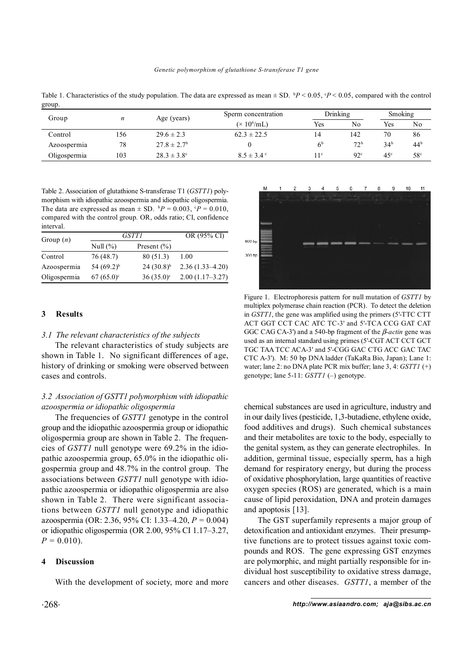| group.       |     |                             |                                            |                 |                 |                 |                 |  |  |
|--------------|-----|-----------------------------|--------------------------------------------|-----------------|-----------------|-----------------|-----------------|--|--|
| Group        | n   | Age (years)                 | Sperm concentration<br>$(\times 10^6$ /mL) | Drinking        |                 | Smoking         |                 |  |  |
|              |     |                             |                                            | Yes             | No              | Yes             | No              |  |  |
| Control      | 156 | $29.6 \pm 2.3$              | $62.3 \pm 22.5$                            | 14              | 142             | 70              | 86              |  |  |
| Azoospermia  | 78  | $27.8 \pm 2.7$ <sup>b</sup> |                                            | 6 <sup>b</sup>  | 72 <sup>b</sup> | 34 <sup>b</sup> | 44 <sup>b</sup> |  |  |
| Oligospermia | 103 | $28.3 \pm 3.8$ °            | $8.5 \pm 3.4$ °                            | 11 <sup>c</sup> | 92 <sup>c</sup> | 45 <sup>c</sup> | 58 <sup>c</sup> |  |  |

Table 1. Characteristics of the study population. The data are expressed as mean  $\pm$  SD.  $\rm{^b}P$  < 0.05,  $\rm{^c}P$  < 0.05, compared with the control group.

Table 2. Association of glutathione S-transferase T1 (*GSTT1*) polymorphism with idiopathic azoospermia and idiopathic oligospermia. The data are expressed as mean  $\pm$  SD.  ${}^{b}P = 0.003$ ,  ${}^{c}P = 0.010$ , compared with the control group. OR, odds ratio; CI, confidence interval.

| Group $(n)$  | <i>GSTT1</i>    | OR (95% CI)             |                     |  |
|--------------|-----------------|-------------------------|---------------------|--|
|              | Null $(\% )$    | Present $(\% )$         |                     |  |
| Control      | 76 (48.7)       | 80 (51.3)               | 1.00                |  |
| Azoospermia  | 54 $(69.2)^{b}$ | $24(30.8)^{b}$          | $2.36(1.33 - 4.20)$ |  |
| Oligospermia | $67(65.0)$ °    | $36(35.0)$ <sup>c</sup> | $2.00(1.17-3.27)$   |  |

#### **3 Results**

#### *3.1 The relevant characteristics of the subjects*

The relevant characteristics of study subjects are shown in Table 1. No significant differences of age, history of drinking or smoking were observed between cases and controls.

# *3.2 Association of GSTT1 polymorphism with idiopathic azoospermia or idiopathic oligospermia*

The frequencies of *GSTT1* genotype in the control group and the idiopathic azoospermia group or idiopathic oligospermia group are shown in Table 2. The frequencies of *GSTT1* null genotype were 69.2% in the idiopathic azoospermia group, 65.0% in the idiopathic oligospermia group and 48.7% in the control group. The associations between *GSTT1* null genotype with idiopathic azoospermia or idiopathic oligospermia are also shown in Table 2. There were significant associations between *GSTT1* null genotype and idiopathic azoospermia (OR: 2.36, 95% CI: 1.33–4.20, *P =* 0.004) or idiopathic oligospermia (OR 2.00, 95% CI 1.17–3.27,  $P = 0.010$ .

#### **4 Discussion**

With the development of society, more and more



Figure 1. Electrophoresis pattern for null mutation of *GSTT1* by multiplex polymerase chain reaction (PCR). To detect the deletion in *GSTT1*, the gene was amplified using the primers (5'-TTC CTT ACT GGT CCT CAC ATC TC-3' and 5'-TCA CCG GAT CAT GGC CAG CA-3') and a 540-bp fragment of the β*-actin* gene was used as an internal standard using primes (5'-CGT ACT CCT GCT TGC TAA TCC ACA-3' and 5'-CGG GAC CTG ACC GAC TAC CTC A-3'). M: 50 bp DNA ladder (TaKaRa Bio, Japan); Lane 1: water; lane 2: no DNA plate PCR mix buffer; lane 3, 4: *GSTT1* (+) genotype; lane 5-11: *GSTT1* (–) genotype.

chemical substances are used in agriculture, industry and in our daily lives (pesticide, 1,3-butadiene, ethylene oxide, food additives and drugs). Such chemical substances and their metabolites are toxic to the body, especially to the genital system, as they can generate electrophiles. In addition, germinal tissue, especially sperm, has a high demand for respiratory energy, but during the process of oxidative phosphorylation, large quantities of reactive oxygen species (ROS) are generated, which is a main cause of lipid peroxidation, DNA and protein damages and apoptosis [13].

The GST superfamily represents a major group of detoxification and antioxidant enzymes. Their presumptive functions are to protect tissues against toxic compounds and ROS. The gene expressing GST enzymes are polymorphic, and might partially responsible for individual host susceptibility to oxidative stress damage, cancers and other diseases. *GSTT1*, a member of the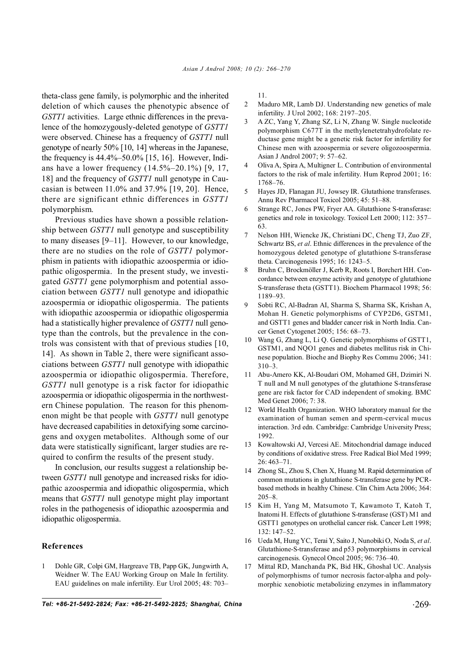theta-class gene family, is polymorphic and the inherited deletion of which causes the phenotypic absence of *GSTT1* activities. Large ethnic differences in the prevalence of the homozygously-deleted genotype of *GSTT1* were observed. Chinese has a frequency of *GSTT1* null genotype of nearly 50% [10, 14] whereas in the Japanese, the frequency is 44.4%–50.0% [15, 16]. However, Indians have a lower frequency (14.5%–20.1%) [9, 17, 18] and the frequency of *GSTT1* null genotype in Caucasian is between 11.0% and 37.9% [19, 20]. Hence, there are significant ethnic differences in *GSTT1* polymorphism.

Previous studies have shown a possible relationship between *GSTT1* null genotype and susceptibility to many diseases [9–11]. However, to our knowledge, there are no studies on the role of *GSTT1* polymorphism in patients with idiopathic azoospermia or idiopathic oligospermia. In the present study, we investigated *GSTT1* gene polymorphism and potential association between *GSTT1* null genotype and idiopathic azoospermia or idiopathic oligospermia. The patients with idiopathic azoospermia or idiopathic oligospermia had a statistically higher prevalence of *GSTT1* null genotype than the controls, but the prevalence in the controls was consistent with that of previous studies [10, 14]. As shown in Table 2, there were significant associations between *GSTT1* null genotype with idiopathic azoospermia or idiopathic oligospermia. Therefore, *GSTT1* null genotype is a risk factor for idiopathic azoospermia or idiopathic oligospermia in the northwestern Chinese population. The reason for this phenomenon might be that people with *GSTT1* null genotype have decreased capabilities in detoxifying some carcinogens and oxygen metabolites. Although some of our data were statistically significant, larger studies are required to confirm the results of the present study.

In conclusion, our results suggest a relationship between *GSTT1* null genotype and increased risks for idiopathic azoospermia and idiopathic oligospermia, which means that *GSTT1* null genotype might play important roles in the pathogenesis of idiopathic azoospermia and idiopathic oligospermia.

#### **References**

1 Dohle GR, Colpi GM, Hargreave TB, Papp GK, Jungwirth A, Weidner W. The EAU Working Group on Male In fertility. EAU guidelines on male infertility. Eur Urol 2005; 48: 703– 11.

- 2 Maduro MR, Lamb DJ. Understanding new genetics of male infertility. J Urol 2002; 168: 2197–205.
- 3 A ZC, Yang Y, Zhang SZ, Li N, Zhang W. Single nucleotide polymorphism C677T in the methylenetetrahydrofolate reductase gene might be a genetic risk factor for infertility for Chinese men with azoospermia or severe oligozoospermia. Asian J Androl 2007; 9: 57–62.
- 4 Oliva A, Spira A, Multigner L. Contribution of environmental factors to the risk of male infertility. Hum Reprod 2001; 16: 1768–76.
- 5 Hayes JD, Flanagan JU, Jowsey IR. Glutathione transferases. Annu Rev Pharmacol Toxicol 2005; 45: 51–88.
- Strange RC, Jones PW, Fryer AA. Glutathione S-transferase: genetics and role in toxicology. Toxicol Lett 2000; 112: 357– 63.
- 7 Nelson HH, Wiencke JK, Christiani DC, Cheng TJ, Zuo ZF, Schwartz BS, *et al*. Ethnic differences in the prevalence of the homozygous deleted genotype of glutathione S-transferase theta. Carcinogenesis 1995; 16: 1243–5.
- 8 Bruhn C, Brockmöller J, Kerb R, Roots I, Borchert HH. Concordance between enzyme activity and genotype of glutathione S-transferase theta (GSTT1). Biochem Pharmacol 1998; 56: 1189–93.
- 9 Sobti RC, Al-Badran AI, Sharma S, Sharma SK, Krishan A, Mohan H. Genetic polymorphisms of CYP2D6, GSTM1, and GSTT1 genes and bladder cancer risk in North India. Cancer Genet Cytogenet 2005; 156: 68–73.
- Wang G, Zhang L, Li Q. Genetic polymorphisms of GSTT1, GSTM1, and NQO1 genes and diabetes mellitus risk in Chinese population. Bioche and Biophy Res Commu 2006; 341: 310–3.
- 11 Abu-Amero KK, Al-Boudari OM, Mohamed GH, Dzimiri N. T null and M null genotypes of the glutathione S-transferase gene are risk factor for CAD independent of smoking. BMC Med Genet 2006; 7: 38.
- 12 World Health Organization. WHO laboratory manual for the examination of human semen and sperm-cervical mucus interaction. 3rd edn. Cambridge: Cambridge University Press; 1992.
- 13 Kowaltowski AJ, Vercesi AE. Mitochondrial damage induced by conditions of oxidative stress. Free Radical Biol Med 1999; 26: 463–71.
- 14 Zhong SL, Zhou S, Chen X, Huang M. Rapid determination of common mutations in glutathione S-transferase gene by PCRbased methods in healthy Chinese. Clin Chim Acta 2006; 364: 205–8.
- 15 Kim H, Yang M, Matsumoto T, Kawamoto T, Katoh T, Inatomi H. Effects of glutathione S-transferase (GST) M1 and GSTT1 genotypes on urothelial cancer risk. Cancer Lett 1998; 132: 147–52.
- 16 Ueda M, Hung YC, Terai Y, Saito J, Nunobiki O, Noda S, *et al*. Glutathione-S-transferase and p53 polymorphisms in cervical carcinogenesis. Gynecol Oncol 2005; 96: 736–40.
- 17 Mittal RD, Manchanda PK, Bid HK, Ghoshal UC. Analysis of polymorphisms of tumor necrosis factor-alpha and polymorphic xenobiotic metabolizing enzymes in inflammatory

*Tel: +86-21-5492-2824; Fax: +86-21-5492-2825; Shanghai, China* .269.